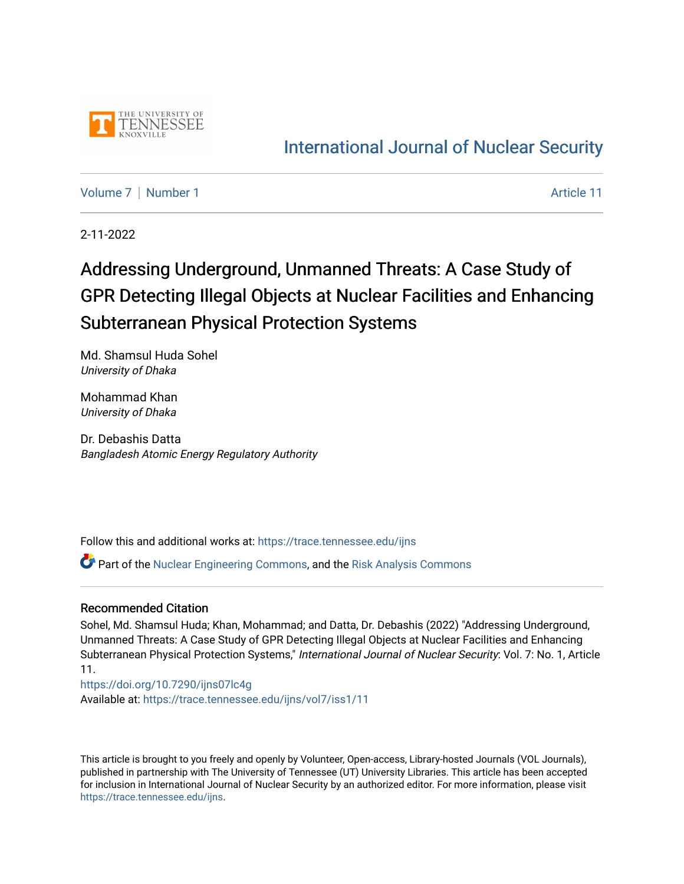

# [International Journal of Nuclear Security](https://trace.tennessee.edu/ijns)

[Volume 7](https://trace.tennessee.edu/ijns/vol7) | [Number 1](https://trace.tennessee.edu/ijns/vol7/iss1) Article 11

2-11-2022

# Addressing Underground, Unmanned Threats: A Case Study of GPR Detecting Illegal Objects at Nuclear Facilities and Enhancing Subterranean Physical Protection Systems

Md. Shamsul Huda Sohel University of Dhaka

Mohammad Khan University of Dhaka

Dr. Debashis Datta Bangladesh Atomic Energy Regulatory Authority

Follow this and additional works at: [https://trace.tennessee.edu/ijns](https://trace.tennessee.edu/ijns?utm_source=trace.tennessee.edu%2Fijns%2Fvol7%2Fiss1%2F11&utm_medium=PDF&utm_campaign=PDFCoverPages) 

Part of the [Nuclear Engineering Commons](http://network.bepress.com/hgg/discipline/314?utm_source=trace.tennessee.edu%2Fijns%2Fvol7%2Fiss1%2F11&utm_medium=PDF&utm_campaign=PDFCoverPages), and the [Risk Analysis Commons](http://network.bepress.com/hgg/discipline/1199?utm_source=trace.tennessee.edu%2Fijns%2Fvol7%2Fiss1%2F11&utm_medium=PDF&utm_campaign=PDFCoverPages)

#### Recommended Citation

Sohel, Md. Shamsul Huda; Khan, Mohammad; and Datta, Dr. Debashis (2022) "Addressing Underground, Unmanned Threats: A Case Study of GPR Detecting Illegal Objects at Nuclear Facilities and Enhancing Subterranean Physical Protection Systems," International Journal of Nuclear Security: Vol. 7: No. 1, Article 11.

<https://doi.org/10.7290/ijns07lc4g> Available at: [https://trace.tennessee.edu/ijns/vol7/iss1/11](https://trace.tennessee.edu/ijns/vol7/iss1/11?utm_source=trace.tennessee.edu%2Fijns%2Fvol7%2Fiss1%2F11&utm_medium=PDF&utm_campaign=PDFCoverPages) 

This article is brought to you freely and openly by Volunteer, Open-access, Library-hosted Journals (VOL Journals), published in partnership with The University of Tennessee (UT) University Libraries. This article has been accepted for inclusion in International Journal of Nuclear Security by an authorized editor. For more information, please visit [https://trace.tennessee.edu/ijns.](https://trace.tennessee.edu/ijns)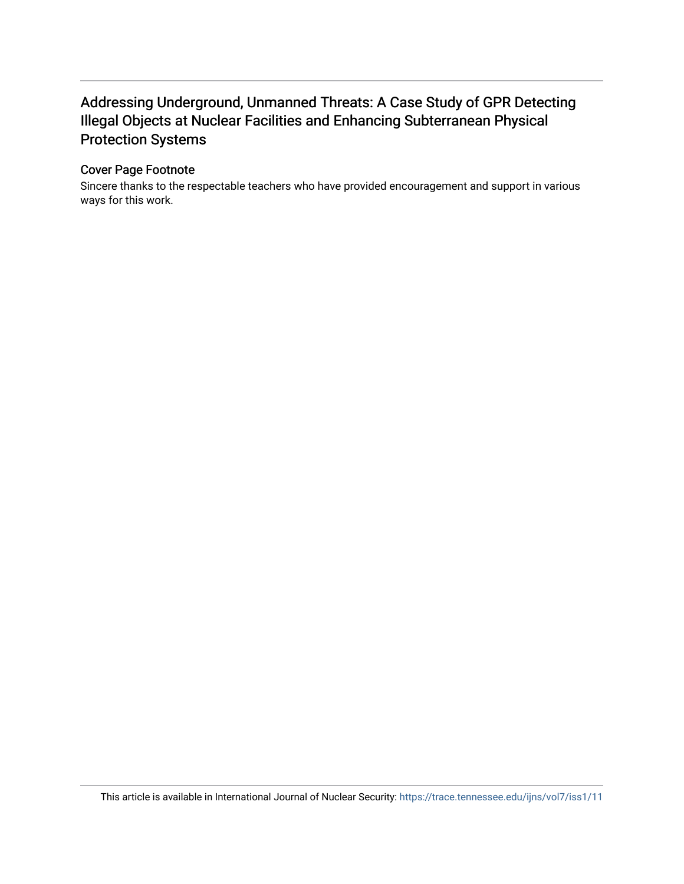### Addressing Underground, Unmanned Threats: A Case Study of GPR Detecting Illegal Objects at Nuclear Facilities and Enhancing Subterranean Physical Protection Systems

#### Cover Page Footnote

Sincere thanks to the respectable teachers who have provided encouragement and support in various ways for this work.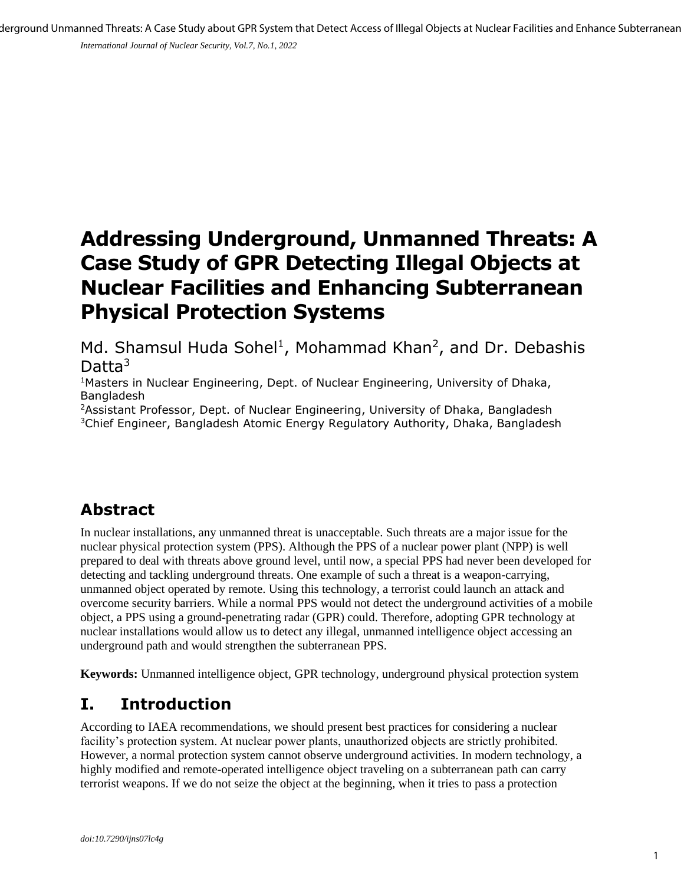*International Journal of Nuclear Security, Vol.7, No.1, 2022*

# **Addressing Underground, Unmanned Threats: A Case Study of GPR Detecting Illegal Objects at Nuclear Facilities and Enhancing Subterranean Physical Protection Systems**

Md. Shamsul Huda Sohel<sup>1</sup>, Mohammad Khan<sup>2</sup>, and Dr. Debashis Datta<sup>3</sup>

<sup>1</sup>Masters in Nuclear Engineering, Dept. of Nuclear Engineering, University of Dhaka, **Bangladesh** 

<sup>2</sup>Assistant Professor, Dept. of Nuclear Engineering, University of Dhaka, Bangladesh <sup>3</sup>Chief Engineer, Bangladesh Atomic Energy Regulatory Authority, Dhaka, Bangladesh

# **Abstract**

In nuclear installations, any unmanned threat is unacceptable. Such threats are a major issue for the nuclear physical protection system (PPS). Although the PPS of a nuclear power plant (NPP) is well prepared to deal with threats above ground level, until now, a special PPS had never been developed for detecting and tackling underground threats. One example of such a threat is a weapon-carrying, unmanned object operated by remote. Using this technology, a terrorist could launch an attack and overcome security barriers. While a normal PPS would not detect the underground activities of a mobile object, a PPS using a ground-penetrating radar (GPR) could. Therefore, adopting GPR technology at nuclear installations would allow us to detect any illegal, unmanned intelligence object accessing an underground path and would strengthen the subterranean PPS.

**Keywords:** Unmanned intelligence object, GPR technology, underground physical protection system

# **I. Introduction**

According to IAEA recommendations, we should present best practices for considering a nuclear facility's protection system. At nuclear power plants, unauthorized objects are strictly prohibited. However, a normal protection system cannot observe underground activities. In modern technology, a highly modified and remote-operated intelligence object traveling on a subterranean path can carry terrorist weapons. If we do not seize the object at the beginning, when it tries to pass a protection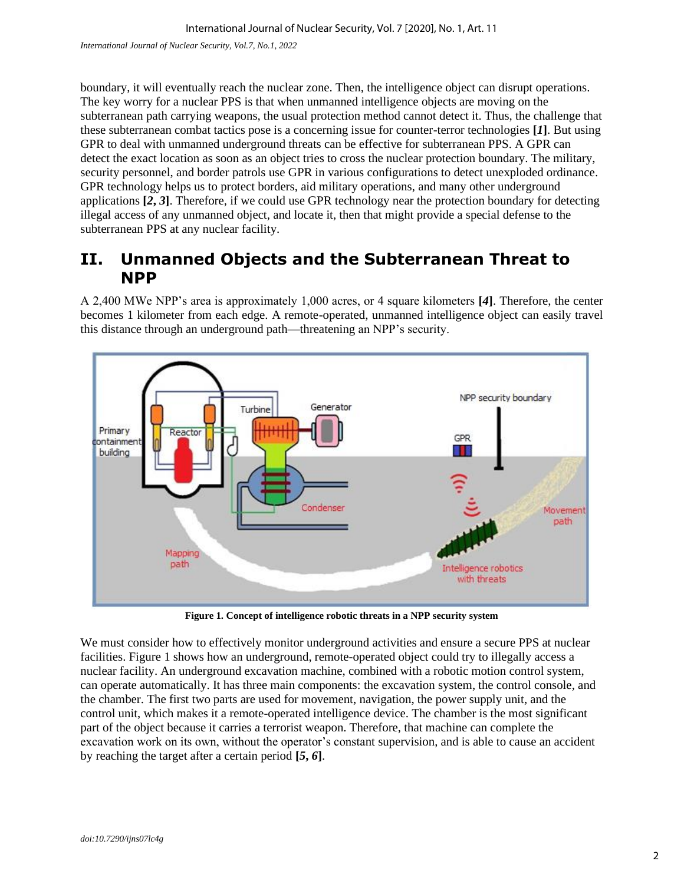boundary, it will eventually reach the nuclear zone. Then, the intelligence object can disrupt operations. The key worry for a nuclear PPS is that when unmanned intelligence objects are moving on the subterranean path carrying weapons, the usual protection method cannot detect it. Thus, the challenge that these subterranean combat tactics pose is a concerning issue for counter-terror technologies **[***1***]**. But using GPR to deal with unmanned underground threats can be effective for subterranean PPS. A GPR can detect the exact location as soon as an object tries to cross the nuclear protection boundary. The military, security personnel, and border patrols use GPR in various configurations to detect unexploded ordinance. GPR technology helps us to protect borders, aid military operations, and many other underground applications **[***2***,** *3***]**. Therefore, if we could use GPR technology near the protection boundary for detecting illegal access of any unmanned object, and locate it, then that might provide a special defense to the subterranean PPS at any nuclear facility.

#### **II. Unmanned Objects and the Subterranean Threat to NPP**

A 2,400 MWe NPP's area is approximately 1,000 acres, or 4 square kilometers **[***4***]**. Therefore, the center becomes 1 kilometer from each edge. A remote-operated, unmanned intelligence object can easily travel this distance through an underground path—threatening an NPP's security.



**Figure 1. Concept of intelligence robotic threats in a NPP security system**

We must consider how to effectively monitor underground activities and ensure a secure PPS at nuclear facilities. Figure 1 shows how an underground, remote-operated object could try to illegally access a nuclear facility. An underground excavation machine, combined with a robotic motion control system, can operate automatically. It has three main components: the excavation system, the control console, and the chamber. The first two parts are used for movement, navigation, the power supply unit, and the control unit, which makes it a remote-operated intelligence device. The chamber is the most significant part of the object because it carries a terrorist weapon. Therefore, that machine can complete the excavation work on its own, without the operator's constant supervision, and is able to cause an accident by reaching the target after a certain period **[***5***,** *6***]**.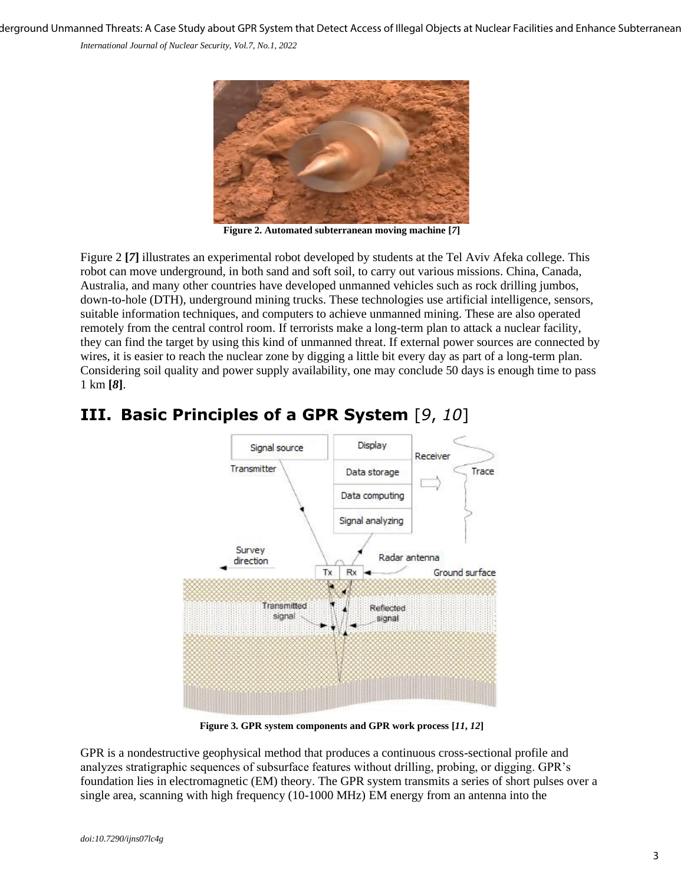derground Unmanned Threats: A Case Study about GPR System that Detect Access of Illegal Objects at Nuclear Facilities and Enhance Subterranean

*International Journal of Nuclear Security, Vol.7, No.1, 2022*



**Figure 2. Automated subterranean moving machine [***7***]**

Figure 2 **[***7***]** illustrates an experimental robot developed by students at the Tel Aviv Afeka college. This robot can move underground, in both sand and soft soil, to carry out various missions. China, Canada, Australia, and many other countries have developed unmanned vehicles such as rock drilling jumbos, down-to-hole (DTH), underground mining trucks. These technologies use artificial intelligence, sensors, suitable information techniques, and computers to achieve unmanned mining. These are also operated remotely from the central control room. If terrorists make a long-term plan to attack a nuclear facility, they can find the target by using this kind of unmanned threat. If external power sources are connected by wires, it is easier to reach the nuclear zone by digging a little bit every day as part of a long-term plan. Considering soil quality and power supply availability, one may conclude 50 days is enough time to pass 1 km **[***8***]**.



## **III. Basic Principles of a GPR System** [*9*, *10*]

**Figure 3. GPR system components and GPR work process [***11***,** *12***]**

GPR is a nondestructive geophysical method that produces a continuous cross-sectional profile and analyzes stratigraphic sequences of subsurface features without drilling, probing, or digging. GPR's foundation lies in electromagnetic (EM) theory. The GPR system transmits a series of short pulses over a single area, scanning with high frequency (10-1000 MHz) EM energy from an antenna into the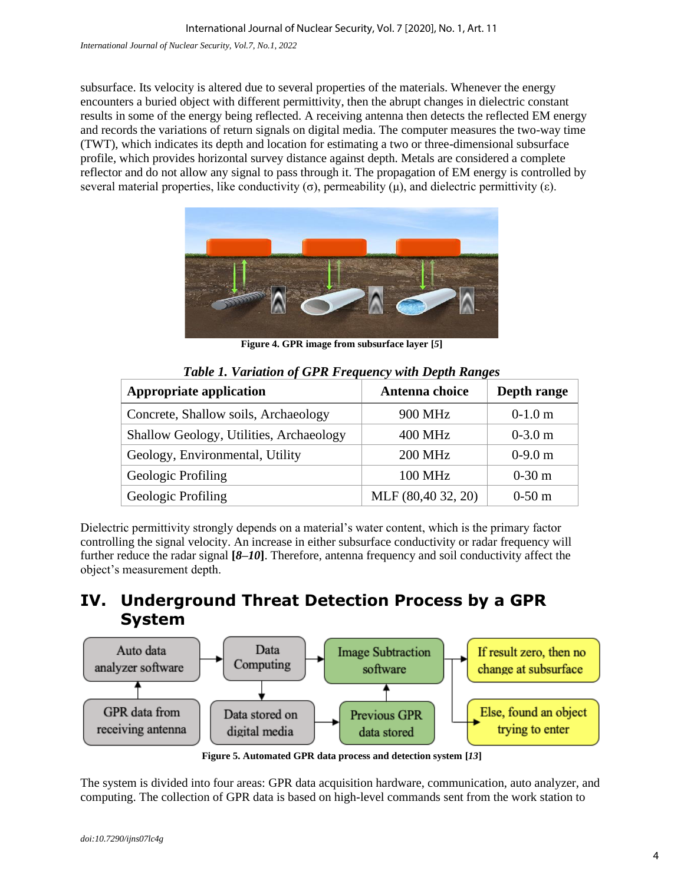subsurface. Its velocity is altered due to several properties of the materials. Whenever the energy encounters a buried object with different permittivity, then the abrupt changes in dielectric constant results in some of the energy being reflected. A receiving antenna then detects the reflected EM energy and records the variations of return signals on digital media. The computer measures the two-way time (TWT), which indicates its depth and location for estimating a two or three-dimensional subsurface profile, which provides horizontal survey distance against depth. Metals are considered a complete reflector and do not allow any signal to pass through it. The propagation of EM energy is controlled by several material properties, like conductivity  $(\sigma)$ , permeability  $(\mu)$ , and dielectric permittivity  $(\varepsilon)$ .



**Figure 4. GPR image from subsurface layer [***5***]**

| <b>Appropriate application</b>          | Antenna choice     | Depth range |
|-----------------------------------------|--------------------|-------------|
| Concrete, Shallow soils, Archaeology    | 900 MHz            | $0-1.0$ m   |
| Shallow Geology, Utilities, Archaeology | <b>400 MHz</b>     | $0-3.0$ m   |
| Geology, Environmental, Utility         | <b>200 MHz</b>     | $0-9.0$ m   |
| Geologic Profiling                      | 100 MHz            | $0-30$ m    |
| Geologic Profiling                      | MLF (80,40 32, 20) | $0-50$ m    |

*Table 1. Variation of GPR Frequency with Depth Ranges*

Dielectric permittivity strongly depends on a material's water content, which is the primary factor controlling the signal velocity. An increase in either subsurface conductivity or radar frequency will further reduce the radar signal **[***8***–***10***]**. Therefore, antenna frequency and soil conductivity affect the object's measurement depth.

### **IV. Underground Threat Detection Process by a GPR System**



**Figure 5. Automated GPR data process and detection system [***13***]**

The system is divided into four areas: GPR data acquisition hardware, communication, auto analyzer, and computing. The collection of GPR data is based on high-level commands sent from the work station to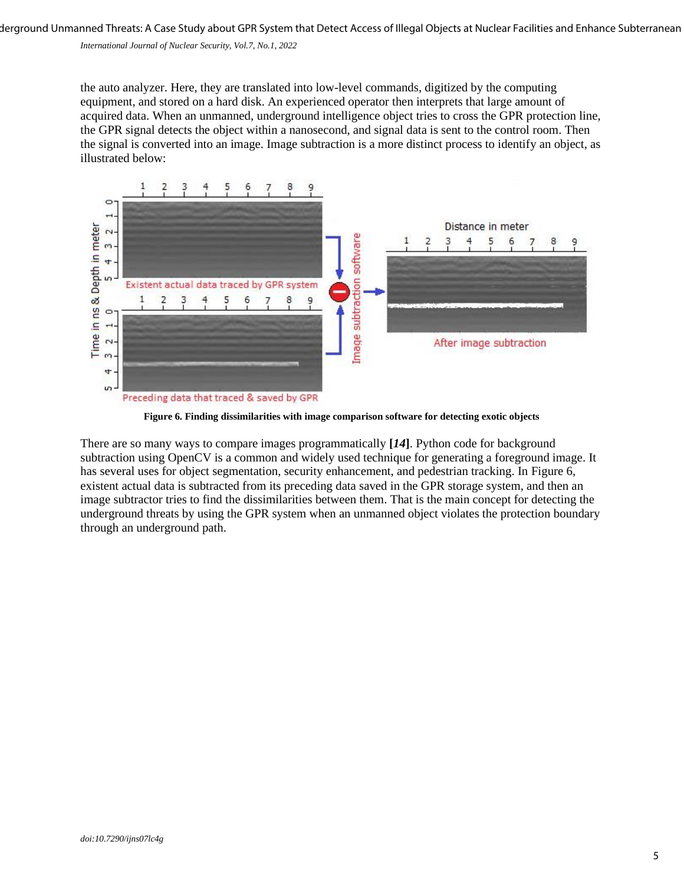derground Unmanned Threats: A Case Study about GPR System that Detect Access of Illegal Objects at Nuclear Facilities and Enhance Subterranean

*International Journal of Nuclear Security, Vol.7, No.1, 2022*

the auto analyzer. Here, they are translated into low-level commands, digitized by the computing equipment, and stored on a hard disk. An experienced operator then interprets that large amount of acquired data. When an unmanned, underground intelligence object tries to cross the GPR protection line, the GPR signal detects the object within a nanosecond, and signal data is sent to the control room. Then the signal is converted into an image. Image subtraction is a more distinct process to identify an object, as illustrated below:



**Figure 6. Finding dissimilarities with image comparison software for detecting exotic objects**

There are so many ways to compare images programmatically **[***14***]**. Python code for background subtraction using OpenCV is a common and widely used technique for generating a foreground image. It has several uses for object segmentation, security enhancement, and pedestrian tracking. In Figure 6, existent actual data is subtracted from its preceding data saved in the GPR storage system, and then an image subtractor tries to find the dissimilarities between them. That is the main concept for detecting the underground threats by using the GPR system when an unmanned object violates the protection boundary through an underground path.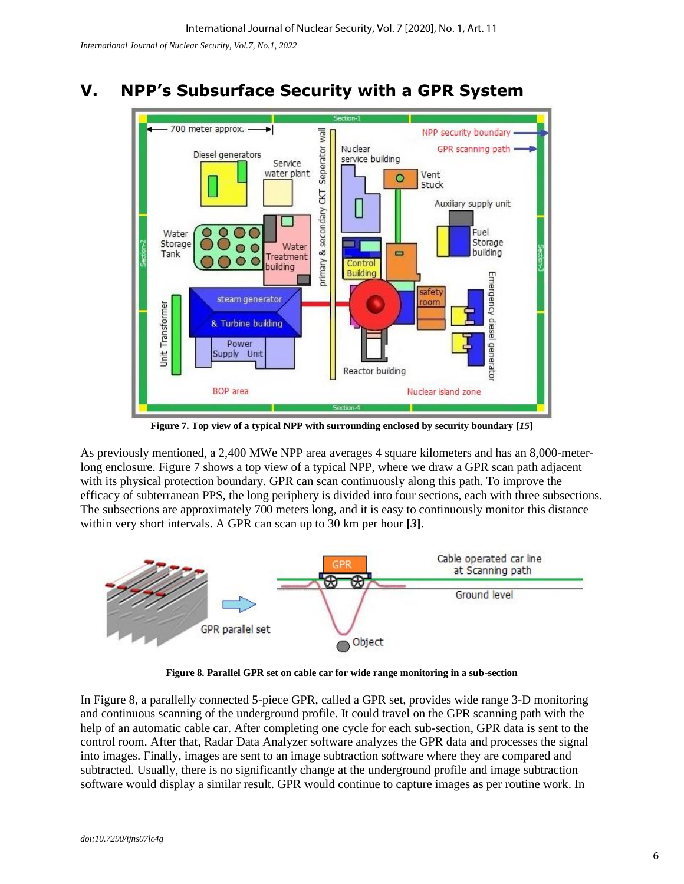*International Journal of Nuclear Security, Vol.7, No.1, 2022*

# **V. NPP's Subsurface Security with a GPR System**



**Figure 7. Top view of a typical NPP with surrounding enclosed by security boundary [***15***]**

As previously mentioned, a 2,400 MWe NPP area averages 4 square kilometers and has an 8,000-meterlong enclosure. Figure 7 shows a top view of a typical NPP, where we draw a GPR scan path adjacent with its physical protection boundary. GPR can scan continuously along this path. To improve the efficacy of subterranean PPS, the long periphery is divided into four sections, each with three subsections. The subsections are approximately 700 meters long, and it is easy to continuously monitor this distance within very short intervals. A GPR can scan up to 30 km per hour **[***3***]**.



**Figure 8. Parallel GPR set on cable car for wide range monitoring in a sub-section**

In Figure 8, a parallelly connected 5-piece GPR, called a GPR set, provides wide range 3-D monitoring and continuous scanning of the underground profile. It could travel on the GPR scanning path with the help of an automatic cable car. After completing one cycle for each sub-section, GPR data is sent to the control room. After that, Radar Data Analyzer software analyzes the GPR data and processes the signal into images. Finally, images are sent to an image subtraction software where they are compared and subtracted. Usually, there is no significantly change at the underground profile and image subtraction software would display a similar result. GPR would continue to capture images as per routine work. In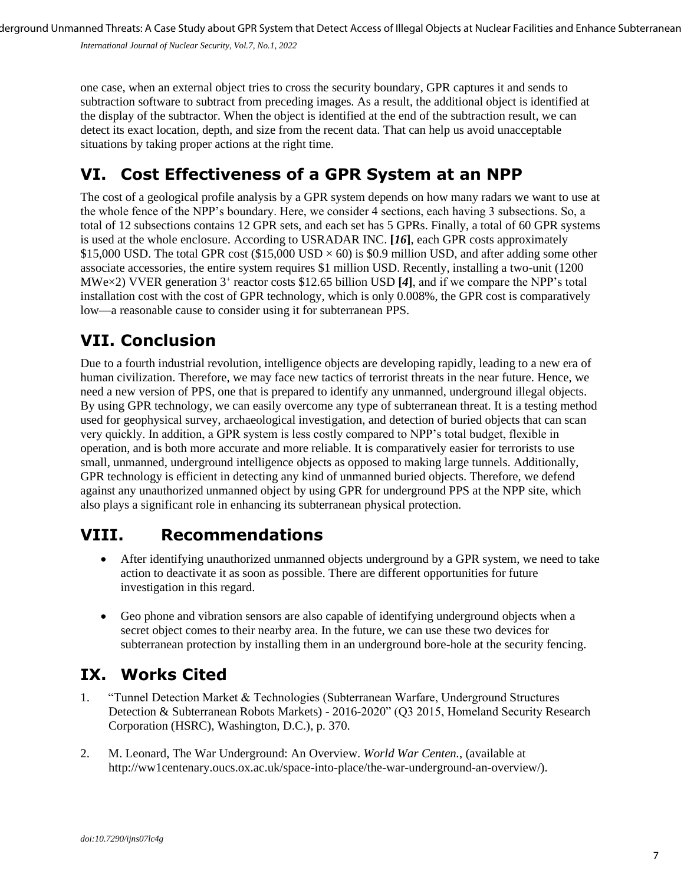derground Unmanned Threats: A Case Study about GPR System that Detect Access of Illegal Objects at Nuclear Facilities and Enhance Subterranean

*International Journal of Nuclear Security, Vol.7, No.1, 2022*

one case, when an external object tries to cross the security boundary, GPR captures it and sends to subtraction software to subtract from preceding images. As a result, the additional object is identified at the display of the subtractor. When the object is identified at the end of the subtraction result, we can detect its exact location, depth, and size from the recent data. That can help us avoid unacceptable situations by taking proper actions at the right time.

## **VI. Cost Effectiveness of a GPR System at an NPP**

The cost of a geological profile analysis by a GPR system depends on how many radars we want to use at the whole fence of the NPP's boundary. Here, we consider 4 sections, each having 3 subsections. So, a total of 12 subsections contains 12 GPR sets, and each set has 5 GPRs. Finally, a total of 60 GPR systems is used at the whole enclosure. According to USRADAR INC. **[***16***]**, each GPR costs approximately \$15,000 USD. The total GPR cost (\$15,000 USD  $\times$  60) is \$0.9 million USD, and after adding some other associate accessories, the entire system requires \$1 million USD. Recently, installing a two-unit (1200 MWe $\times$ 2) VVER generation 3<sup>+</sup> reactor costs \$12.65 billion USD [4], and if we compare the NPP's total installation cost with the cost of GPR technology, which is only 0.008%, the GPR cost is comparatively low—a reasonable cause to consider using it for subterranean PPS.

# **VII. Conclusion**

Due to a fourth industrial revolution, intelligence objects are developing rapidly, leading to a new era of human civilization. Therefore, we may face new tactics of terrorist threats in the near future. Hence, we need a new version of PPS, one that is prepared to identify any unmanned, underground illegal objects. By using GPR technology, we can easily overcome any type of subterranean threat. It is a testing method used for geophysical survey, archaeological investigation, and detection of buried objects that can scan very quickly. In addition, a GPR system is less costly compared to NPP's total budget, flexible in operation, and is both more accurate and more reliable. It is comparatively easier for terrorists to use small, unmanned, underground intelligence objects as opposed to making large tunnels. Additionally, GPR technology is efficient in detecting any kind of unmanned buried objects. Therefore, we defend against any unauthorized unmanned object by using GPR for underground PPS at the NPP site, which also plays a significant role in enhancing its subterranean physical protection.

# **VIII. Recommendations**

- After identifying unauthorized unmanned objects underground by a GPR system, we need to take action to deactivate it as soon as possible. There are different opportunities for future investigation in this regard.
- Geo phone and vibration sensors are also capable of identifying underground objects when a secret object comes to their nearby area. In the future, we can use these two devices for subterranean protection by installing them in an underground bore-hole at the security fencing.

### **IX. Works Cited**

- 1. "Tunnel Detection Market & Technologies (Subterranean Warfare, Underground Structures Detection & Subterranean Robots Markets) - 2016-2020" (Q3 2015, Homeland Security Research Corporation (HSRC), Washington, D.C.), p. 370.
- 2. M. Leonard, The War Underground: An Overview. *World War Centen.*, (available at http://ww1centenary.oucs.ox.ac.uk/space-into-place/the-war-underground-an-overview/).